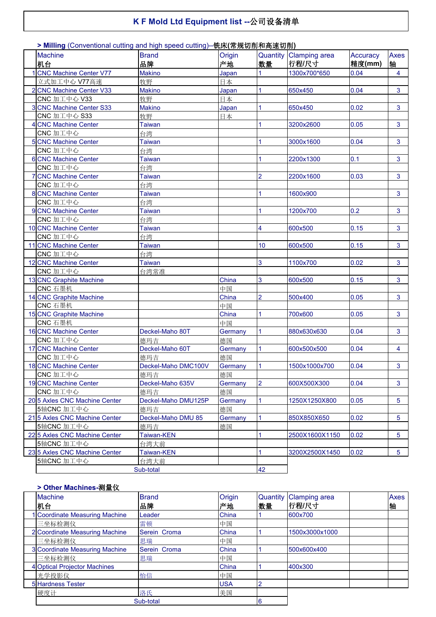## **K F Mold Ltd Equipment list --**公司设备清单

#### **Machine Machine Machine Machine Brand** 机台 しょうしゃ ふくしゃ ふくしゃ ふくしゃ おおし おおし しんしゃ しんしゃ しょうしゃ しょうしゃ Oriain 品牌 Origin | Quantity | Clamping area | Accuracy | Axes | 产地 |数量 <sup>|</sup>行程/尺寸 |精度(mm) |轴 | **Accuracy** Axes 轴 | 1 CNC Machine Center V77 Makino Japan 1 1300x700\*650 0.04 4 立式加工中心 V77高速 インストン おりの 牧野 インタントリング 日本 2 CNC Machine Center V33 Makino Japan 1 650x450 0.04 3 CNC 加工中心 V33 わけの 牧野 マンクロード マンドリック 日本 3 CNC Machine Center S33 Makino Japan 1 650x450 0.02 3 CNC 加工中心 S33 牧野 日本 4 CNC Machine Center Taiwan 1 3200x2600 0.05 3 CNC 加工中心 台湾 5 SICNC Machine Center 1 2000 Taiwan 1 3000x1600 0.04 3 CNC 加工中心 しんじょう しゅうしょう 自湾 6 CNC Machine Center Taiwan 1 1 2200x1300 0.1 3 CNC 加工中心 台湾 7 CNC Machine Center Taiwan 1 2 2200x1600 0.03 3 CNC 加工中心 しんじょう しゅうしょう 自湾 8 CNC Machine Center Taiwan 1 1 1600x900 3 CNC 加工中心 しんじょう 自湾 9 CNC Machine Center Taiwan 1 1 1200x700 0.2 3 CNC 加工中心 しんじょう しゅうしょう 自湾 10 CNC Machine Center Taiwan 10 CNC 4 600x500 0.15 3 CNC 加工中心 台湾 11 CNC Machine Center Taiwan 10 10 10 600x500 0.15 3 CNC 加工中心 しんじゅうしょう 自湾 12 CNC Machine Center Taiwan 12 2 1100x700 0.02 3 CNC 加工中心 しんとう 自湾常准 13 CNC Graphite Machine China 3 600x500 0.15 3 CNC 石墨机 中国 14 CNC Graphite Machine 2 2 500x400 0.05 3 CNC 石墨机 中国 15 CNC Graphite Machine 2000 2001 2002 2006 0.05 3 CNC 石墨机 中国 16 CNC Machine Center Deckel-Maho 80T Germany 1 880x630x630 0.04 3 CNC 加工中心 **The CNC 加工中心 The CNC 加工中心** 17 CNC Machine Center **Deckel-Maho 60T** Germany 1 600x500x500 0.04 4 CNC 加工中心 インファイル インスト 徳玛吉 しんしゃ インタン 懐国 18 CNC Machine Center **Deckel-Maho DMC100V** Germany 1 1600x1000x700 0.04 3 CNC 加工中心 しゅうしゃ しゅうしゃ インタン インタン 徳国 しんじょう しゅうしゅう しゅうしゅうしゅぎょう しゅうしゅうしゅぎょう しゅうしゅうしょう 19 CNC Machine Center Deckel-Maho 635V Germany 2 600X500X300 0.04 3 CNC 加工中心 德玛吉 德国 20 5 Axles CNC Machine Center Deckel-Maho DMU125P Germany 1 1 1250X1250X800 0.05 5 5轴CNC 加工中心 わけのあい インタン 徳玛吉 しんこう インタン 徳国 21 5 Axles CNC Machine Center Deckel-Maho DMU 85 Germany 1 850X850X650 0.02 | 5 5轴CNC 加工中心 **Machina and Tana and Tana and Tana and Tana and Tana and Tana and Tana and Tana and Tana and Tana a** 22 5 Axles CNC Machine Center Taiwan-KEN 1 1 2500X1600X1150 0.02 5 5轴CNC 加工中心 http://www.com/台湾大前 23 5 Axles CNC Machine Center Taiwan-KEN 1 4 3200X2500X1450 0.02 5 5轴CNC 加工中心 | 台湾大前 Sub-total 42

#### **> Milling** (Conventional cutting and high speed cutting)--铣床**(**常规切削和高速切削**)**

#### **> Other Machines-**测量仪

| <b>Machine</b><br>机台           | <b>Brand</b><br>品牌 | Origin<br>产地 | 数量 | Quantity Clamping area<br> 行程/尺寸 | <b>Axes</b><br>轴 |
|--------------------------------|--------------------|--------------|----|----------------------------------|------------------|
| 1 Coordinate Measuring Machine | Leader             | China        |    | 600x700                          |                  |
| 三坐标检测仪                         | 雷顿                 | 中国           |    |                                  |                  |
| 2 Coordinate Measuring Machine | Serein Croma       | China        |    | 1500x3000x1000                   |                  |
| 三坐标检测仪                         | 思瑞                 | 中国           |    |                                  |                  |
| 3 Coordinate Measuring Machine | Serein Croma       | China        |    | 500x600x400                      |                  |
| 三坐标检测仪                         | 思瑞                 | 中国           |    |                                  |                  |
| 4 Optical Projector Machines   |                    | China        |    | 400x300                          |                  |
| 光学投影仪                          | 怡信                 | 中国           |    |                                  |                  |
| 5 Hardness Tester              |                    | <b>USA</b>   |    |                                  |                  |
| 硬度计                            | 洛氏                 | 美国           |    |                                  |                  |
|                                | Sub-total          |              |    |                                  |                  |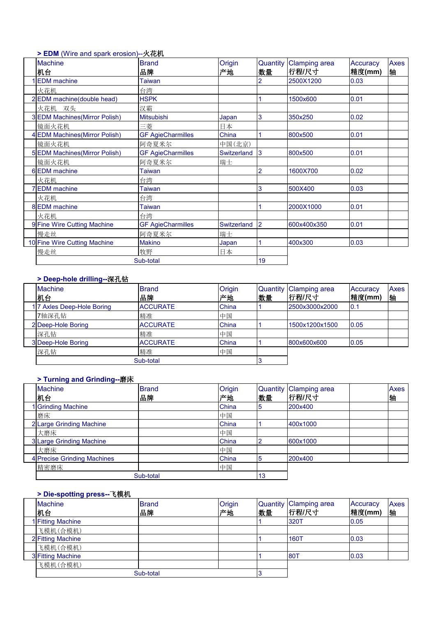# **> EDM** (Wire and spark erosion)--火花机

| <b>Machine</b>                 | <b>Brand</b>             | Origin        | Quantity       | <b>Clamping area</b> | Accuracy | Axes |
|--------------------------------|--------------------------|---------------|----------------|----------------------|----------|------|
| 机台                             | 品牌                       | 产地            | 数量             | 行程/尺寸                | 精度(mm)   | 牰    |
| <b>EDM</b> machine             | Taiwan                   |               | 2              | 2500X1200            | 0.03     |      |
| 火花机                            | 台湾                       |               |                |                      |          |      |
| 2EDM machine(double head)      | <b>HSPK</b>              |               |                | 1500x600             | 0.01     |      |
| 火花机 双头                         | 汉霸                       |               |                |                      |          |      |
| 3 EDM Machines (Mirror Polish) | <b>Mitsubishi</b>        | Japan         | 3              | 350x250              | 0.02     |      |
| 镜面火花机                          | 三菱                       | 日本            |                |                      |          |      |
| 4 EDM Machines (Mirror Polish) | <b>GF AgieCharmilles</b> | China         |                | 800x500              | 0.01     |      |
| 镜面火花机                          | 阿奇夏米尔                    | 中国(北京)        |                |                      |          |      |
| 5 EDM Machines (Mirror Polish) | <b>GF AgieCharmilles</b> | Switzerland 3 |                | 800x500              | 0.01     |      |
| 镜面火花机                          | 阿奇夏米尔                    | 瑞士            |                |                      |          |      |
| 6 EDM machine                  | Taiwan                   |               | $\overline{2}$ | 1600X700             | 0.02     |      |
| 火花机                            | 台湾                       |               |                |                      |          |      |
| 7 EDM machine                  | Taiwan                   |               | 3              | 500X400              | 0.03     |      |
| 火花机                            | 台湾                       |               |                |                      |          |      |
| 8 EDM machine                  | <b>Taiwan</b>            |               |                | 2000X1000            | 0.01     |      |
| 火花机                            | 台湾                       |               |                |                      |          |      |
| 9 Fine Wire Cutting Machine    | <b>GF AgieCharmilles</b> | Switzerland   | $\overline{2}$ | 600x400x350          | 0.01     |      |
| 慢走丝                            | 阿奇夏米尔                    | 瑞士            |                |                      |          |      |
| 10 Fine Wire Cutting Machine   | <b>Makino</b>            | Japan         |                | 400x300              | 0.03     |      |
| 慢走丝                            | 牧野                       | 日本            |                |                      |          |      |
|                                | Sub-total                |               | 19             |                      |          |      |
|                                |                          |               |                |                      |          |      |

## **> Deep-hole drilling--**深孔钻

| <b>Machine</b><br>机台      | <b>Brand</b><br>品牌 | Origin<br>产地 | Quantity<br>数量 | / Clamping area<br>行程/尺寸 | Accuracy<br>精度(mm) | Axes<br>轴 |
|---------------------------|--------------------|--------------|----------------|--------------------------|--------------------|-----------|
| 17 Axles Deep-Hole Boring | <b>ACCURATE</b>    | China        |                | 2500x3000x2000           | 0.1                |           |
| 7轴深孔钻                     | 精准                 | 中国           |                |                          |                    |           |
| 2 Deep-Hole Boring        | <b>ACCURATE</b>    | China        |                | 1500x1200x1500           | 0.05               |           |
| 深孔钻                       | 精准                 | 中国           |                |                          |                    |           |
| 3 Deep-Hole Boring        | <b>ACCURATE</b>    | China        |                | 800x600x600              | 0.05               |           |
| 深孔钻                       | 精准                 | 中国           |                |                          |                    |           |
|                           | Sub-total          |              |                |                          |                    |           |

## **> Turning and Grinding--**磨床

| <b>Machine</b><br>机台        | <b>Brand</b><br>品牌 | Origin<br> 产地 | 数量 | Quantity Clamping area<br> 行程/尺寸 | Axes<br>牰 |
|-----------------------------|--------------------|---------------|----|----------------------------------|-----------|
| 1 Grinding Machine          |                    | China         |    | 200x400                          |           |
| 磨床                          |                    | 中国            |    |                                  |           |
| 2 Large Grinding Machine    |                    | China         |    | 400x1000                         |           |
| 大磨床                         |                    | 中国            |    |                                  |           |
| 3 Large Grinding Machine    |                    | China         |    | 600x1000                         |           |
| 大磨床                         |                    | 中国            |    |                                  |           |
| 4 Precise Grinding Machines |                    | China         |    | 200x400                          |           |
| 精密磨床                        |                    | 中国            |    |                                  |           |
|                             | Sub-total          |               | 13 |                                  |           |

# **> Die-spotting press--**飞模机

| <b>Machine</b><br>机台 | <b>Brand</b><br>品牌 | Origin<br>产地 | 数量 | Quantity Clamping area<br> 行程/尺寸 | Accuracy<br>精度(mm) | Axes<br>轴 |
|----------------------|--------------------|--------------|----|----------------------------------|--------------------|-----------|
| 1 Fitting Machine    |                    |              |    | 320T                             | 0.05               |           |
| 飞模机(合模机)             |                    |              |    |                                  |                    |           |
| 2 Fitting Machine    |                    |              |    | 160T                             | 0.03               |           |
| 飞模机(合模机)             |                    |              |    |                                  |                    |           |
| 3 Fitting Machine    |                    |              |    | $80^{\circ}$                     | 0.03               |           |
| 飞模机(合模机)             |                    |              |    |                                  |                    |           |
|                      | Sub-total          |              |    |                                  |                    |           |